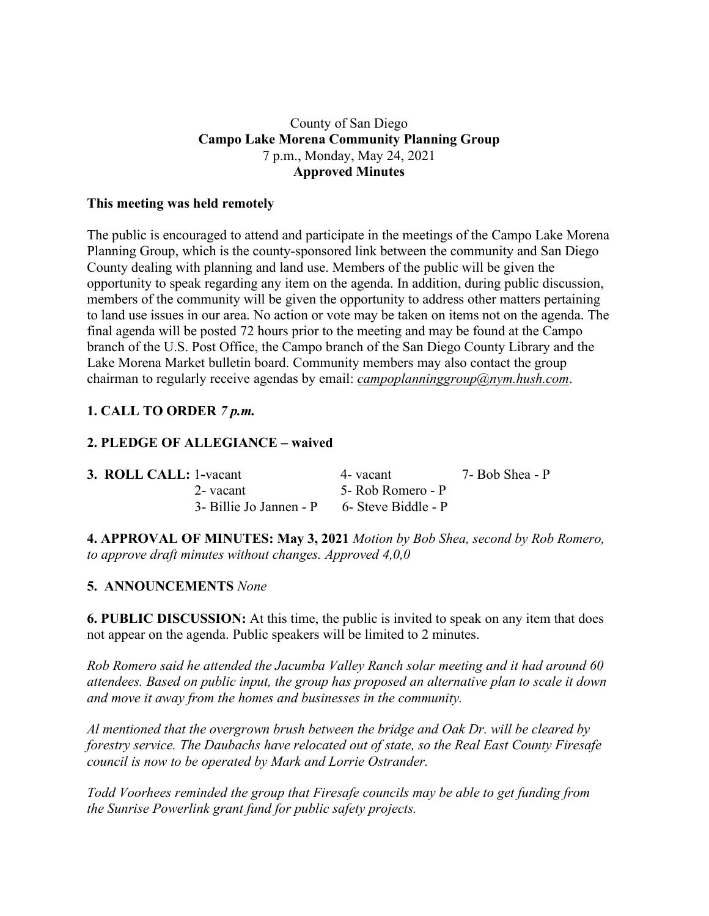## County of San Diego **Campo Lake Morena Community Planning Group** 7 p.m., Monday, May 24, 2021 **Approved Minutes**

#### **This meeting was held remotely**

The public is encouraged to attend and participate in the meetings of the Campo Lake Morena Planning Group, which is the county-sponsored link between the community and San Diego County dealing with planning and land use. Members of the public will be given the opportunity to speak regarding any item on the agenda. In addition, during public discussion, members of the community will be given the opportunity to address other matters pertaining to land use issues in our area. No action or vote may be taken on items not on the agenda. The final agenda will be posted 72 hours prior to the meeting and may be found at the Campo branch of the U.S. Post Office, the Campo branch of the San Diego County Library and the Lake Morena Market bulletin board. Community members may also contact the group chairman to regularly receive agendas by email: *campoplanninggroup@nym.hush.com*.

# **1. CALL TO ORDER** *7 p.m.*

#### **2. PLEDGE OF ALLEGIANCE – waived**

| 3. ROLL CALL: 1-vacant                      | 4- vacant         | 7- Bob Shea - P |
|---------------------------------------------|-------------------|-----------------|
| 2- vacant                                   | 5- Rob Romero - P |                 |
| 3- Billie Jo Jannen - P 6- Steve Biddle - P |                   |                 |

**4. APPROVAL OF MINUTES: May 3, 2021** *Motion by Bob Shea, second by Rob Romero, to approve draft minutes without changes. Approved 4,0,0*

#### **5. ANNOUNCEMENTS** *None*

**6. PUBLIC DISCUSSION:** At this time, the public is invited to speak on any item that does not appear on the agenda. Public speakers will be limited to 2 minutes.

*Rob Romero said he attended the Jacumba Valley Ranch solar meeting and it had around 60 attendees. Based on public input, the group has proposed an alternative plan to scale it down and move it away from the homes and businesses in the community.*

*Al mentioned that the overgrown brush between the bridge and Oak Dr. will be cleared by forestry service. The Daubachs have relocated out of state, so the Real East County Firesafe council is now to be operated by Mark and Lorrie Ostrander.*

*Todd Voorhees reminded the group that Firesafe councils may be able to get funding from the Sunrise Powerlink grant fund for public safety projects.*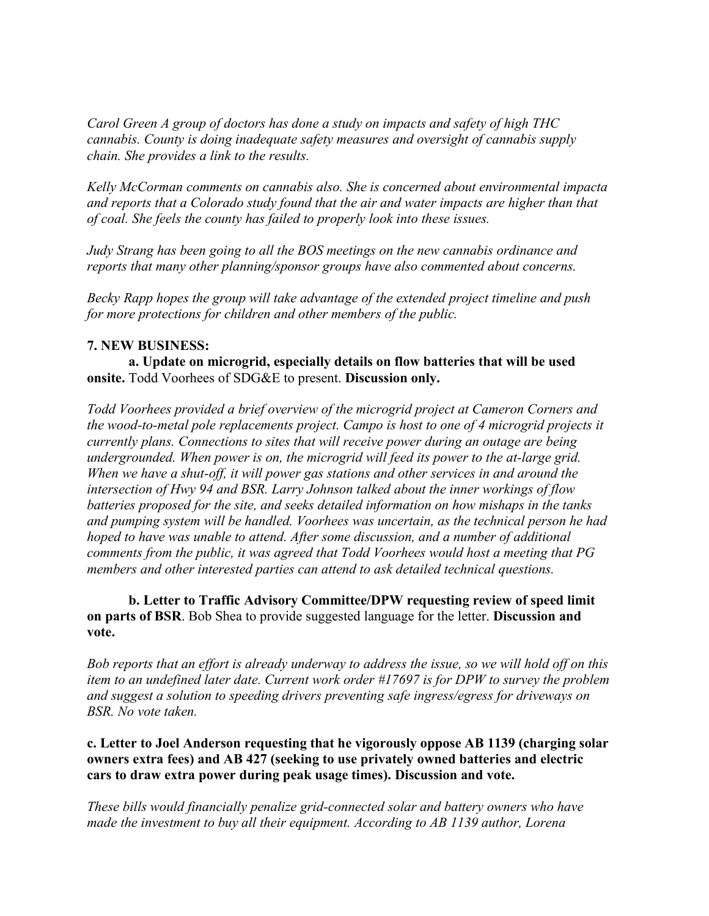*Carol Green A group of doctors has done a study on impacts and safety of high THC cannabis. County is doing inadequate safety measures and oversight of cannabis supply chain. She provides a link to the results.*

*Kelly McCorman comments on cannabis also. She is concerned about environmental impacta and reports that a Colorado study found that the air and water impacts are higher than that of coal. She feels the county has failed to properly look into these issues.*

*Judy Strang has been going to all the BOS meetings on the new cannabis ordinance and reports that many other planning/sponsor groups have also commented about concerns.*

*Becky Rapp hopes the group will take advantage of the extended project timeline and push for more protections for children and other members of the public.*

## **7. NEW BUSINESS:**

**a. Update on microgrid, especially details on flow batteries that will be used onsite.** Todd Voorhees of SDG&E to present. **Discussion only.**

*Todd Voorhees provided a brief overview of the microgrid project at Cameron Corners and the wood-to-metal pole replacements project. Campo is host to one of 4 microgrid projects it currently plans. Connections to sites that will receive power during an outage are being undergrounded. When power is on, the microgrid will feed its power to the at-large grid. When we have a shut-off, it will power gas stations and other services in and around the intersection of Hwy 94 and BSR. Larry Johnson talked about the inner workings of flow batteries proposed for the site, and seeks detailed information on how mishaps in the tanks and pumping system will be handled. Voorhees was uncertain, as the technical person he had hoped to have was unable to attend. After some discussion, and a number of additional comments from the public, it was agreed that Todd Voorhees would host a meeting that PG members and other interested parties can attend to ask detailed technical questions.*

**b. Letter to Traffic Advisory Committee/DPW requesting review of speed limit on parts of BSR**. Bob Shea to provide suggested language for the letter. **Discussion and vote.**

Bob reports that an effort is already underway to address the issue, so we will hold off on this *item to an undefined later date. Current work order #17697 is for DPW to survey the problem and suggest a solution to speeding drivers preventing safe ingress/egress for driveways on BSR. No vote taken.*

**c. Letter to Joel Anderson requesting that he vigorously oppose AB 1139 (charging solar owners extra fees) and AB 427 (seeking to use privately owned batteries and electric cars to draw extra power during peak usage times). Discussion and vote.**

*These bills would financially penalize grid-connected solar and battery owners who have made the investment to buy all their equipment. According to AB 1139 author, Lorena*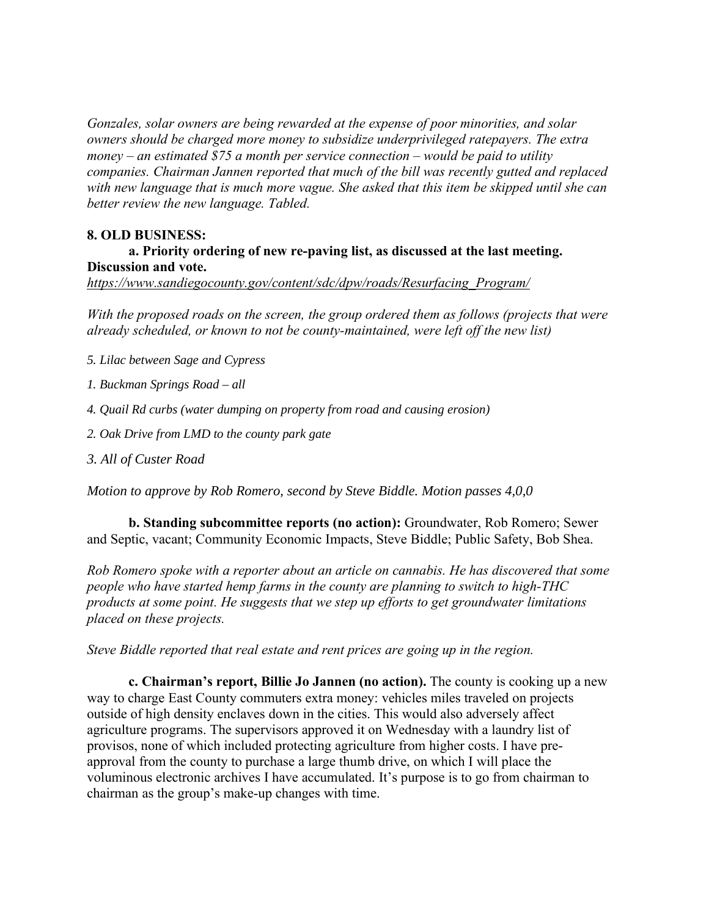*Gonzales, solar owners are being rewarded at the expense of poor minorities, and solar owners should be charged more money to subsidize underprivileged ratepayers. The extra money – an estimated \$75 a month per service connection – would be paid to utility companies. Chairman Jannen reported that much of the bill was recently gutted and replaced with new language that is much more vague. She asked that this item be skipped until she can better review the new language. Tabled.*

#### **8. OLD BUSINESS:**

# **a. Priority ordering of new re-paving list, as discussed at the last meeting. Discussion and vote.**

*https://www.sandiegocounty.gov/content/sdc/dpw/roads/Resurfacing\_Program/*

*With the proposed roads on the screen, the group ordered them as follows (projects that were already scheduled, or known to not be county-maintained, were left off the new list)*

*5. Lilac between Sage and Cypress*

- *1. Buckman Springs Road – all*
- *4. Quail Rd curbs (water dumping on property from road and causing erosion)*

*2. Oak Drive from LMD to the county park gate*

*3. All of Custer Road*

*Motion to approve by Rob Romero, second by Steve Biddle. Motion passes 4,0,0*

**b. Standing subcommittee reports (no action):** Groundwater, Rob Romero; Sewer and Septic, vacant; Community Economic Impacts, Steve Biddle; Public Safety, Bob Shea.

*Rob Romero spoke with a reporter about an article on cannabis. He has discovered that some people who have started hemp farms in the county are planning to switch to high-THC products at some point. He suggests that we step up efforts to get groundwater limitations placed on these projects.*

*Steve Biddle reported that real estate and rent prices are going up in the region.*

**c. Chairman's report, Billie Jo Jannen (no action).** The county is cooking up a new way to charge East County commuters extra money: vehicles miles traveled on projects outside of high density enclaves down in the cities. This would also adversely affect agriculture programs. The supervisors approved it on Wednesday with a laundry list of provisos, none of which included protecting agriculture from higher costs. I have preapproval from the county to purchase a large thumb drive, on which I will place the voluminous electronic archives I have accumulated. It's purpose is to go from chairman to chairman as the group's make-up changes with time.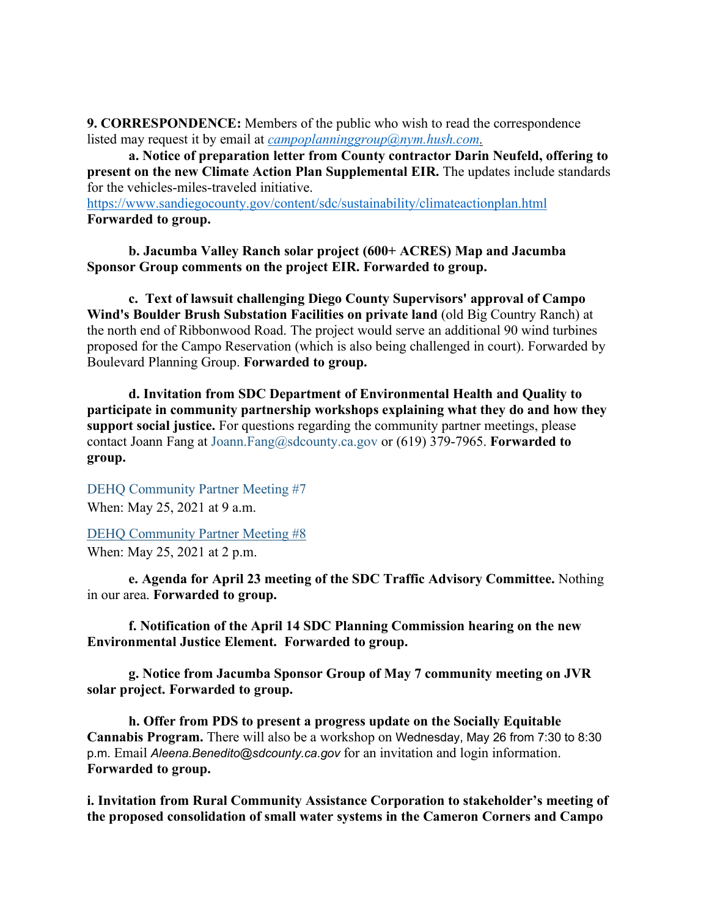**9. CORRESPONDENCE:** Members of the public who wish to read the correspondence listed may request it by email at *campoplanninggroup@nym.hush.com.*

**a. Notice of preparation letter from County contractor Darin Neufeld, offering to present on the new Climate Action Plan Supplemental EIR.** The updates include standards for the vehicles-miles-traveled initiative.

https://www.sandiegocounty.gov/content/sdc/sustainability/climateactionplan.html **Forwarded to group.**

**b. Jacumba Valley Ranch solar project (600+ ACRES) Map and Jacumba Sponsor Group comments on the project EIR. Forwarded to group.**

**c. Text of lawsuit challenging Diego County Supervisors' approval of Campo Wind's Boulder Brush Substation Facilities on private land** (old Big Country Ranch) at the north end of Ribbonwood Road. The project would serve an additional 90 wind turbines proposed for the Campo Reservation (which is also being challenged in court). Forwarded by Boulevard Planning Group. **Forwarded to group.**

**d. Invitation from SDC Department of Environmental Health and Quality to participate in community partnership workshops explaining what they do and how they support social justice.** For questions regarding the community partner meetings, please contact Joann Fang at Joann.Fang@sdcounty.ca.gov or (619) 379-7965. **Forwarded to group.**

DEHQ Community Partner Meeting #7 When: May 25, 2021 at 9 a.m.

DEHQ Community Partner Meeting #8 When: May 25, 2021 at 2 p.m.

**e. Agenda for April 23 meeting of the SDC Traffic Advisory Committee.** Nothing in our area. **Forwarded to group.**

**f. Notification of the April 14 SDC Planning Commission hearing on the new Environmental Justice Element. Forwarded to group.**

**g. Notice from Jacumba Sponsor Group of May 7 community meeting on JVR solar project. Forwarded to group.**

**h. Offer from PDS to present a progress update on the Socially Equitable Cannabis Program.** There will also be a workshop on Wednesday, May 26 from 7:30 to 8:30 p.m. Email *Aleena.Benedito@sdcounty.ca.gov* for an invitation and login information. **Forwarded to group.**

**i. Invitation from Rural Community Assistance Corporation to stakeholder's meeting of the proposed consolidation of small water systems in the Cameron Corners and Campo**